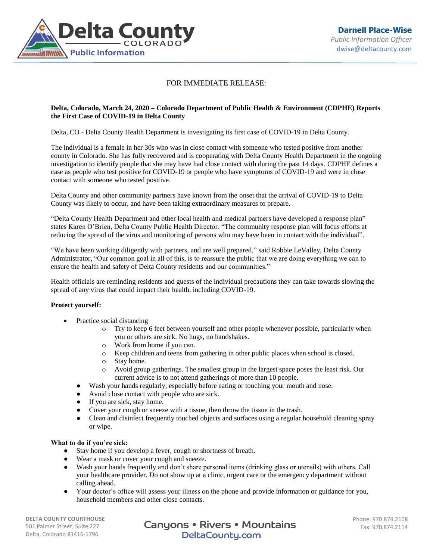

## FOR IMMEDIATE RELEASE:

## **Delta, Colorado, March 24, 2020 – Colorado Department of Public Health & Environment (CDPHE) Reports the First Case of COVID-19 in Delta County**

Delta, CO - Delta County Health Department is investigating its first case of COVID-19 in Delta County.

The individual is a female in her 30s who was in close contact with someone who tested positive from another county in Colorado. She has fully recovered and is cooperating with Delta County Health Department in the ongoing investigation to identify people that she may have had close contact with during the past 14 days. CDPHE defines a case as people who test positive for COVID-19 or people who have symptoms of COVID-19 and were in close contact with someone who tested positive.

Delta County and other community partners have known from the onset that the arrival of COVID-19 to Delta County was likely to occur, and have been taking extraordinary measures to prepare.

"Delta County Health Department and other local health and medical partners have developed a response plan" states Karen O'Brien, Delta County Public Health Director. "The community response plan will focus efforts at reducing the spread of the virus and monitoring of persons who may have been in contact with the individual".

"We have been working diligently with partners, and are well prepared," said Robbie LeValley, Delta County Administrator, "Our common goal in all of this, is to reassure the public that we are doing everything we can to ensure the health and safety of Delta County residents and our communities."

Health officials are reminding residents and guests of the individual precautions they can take towards slowing the spread of any virus that could impact their health, including COVID-19.

## **Protect yourself:**

- Practice social distancing
	- o Try to keep 6 feet between yourself and other people whenever possible, particularly when you or others are sick. No hugs, no handshakes.
	- o Work from home if you can.
	- o Keep children and teens from gathering in other public places when school is closed.
	- o Stay home.
	- o Avoid group gatherings. The smallest group in the largest space poses the least risk. Our current advice is to not attend gatherings of more than 10 people.
	- Wash your hands regularly, especially before eating or touching your mouth and nose.
	- Avoid close contact with people who are sick.
	- If you are sick, stay home.
	- Cover your cough or sneeze with a tissue, then throw the tissue in the trash.
	- Clean and disinfect frequently touched objects and surfaces using a regular household cleaning spray or wipe.

## **What to do if you're sick:**

- Stay home if you develop a fever, cough or shortness of breath.
- Wear a mask or cover your cough and sneeze.
- Wash your hands frequently and don't share personal items (drinking glass or utensils) with others. Call your healthcare provider. Do not show up at a clinic, urgent care or the emergency department without calling ahead.
- Your doctor's office will assess your illness on the phone and provide information or guidance for you, household members and other close contacts.

**DELTA COUNTY COURTHOUSE** 501 Palmer Street; Suite 227 Delta, Colorado 81416-1796

Canyons • Rivers • Mountains DeltaCounty.com

Phone: 970.874.2108 Fax: 970.874.2114